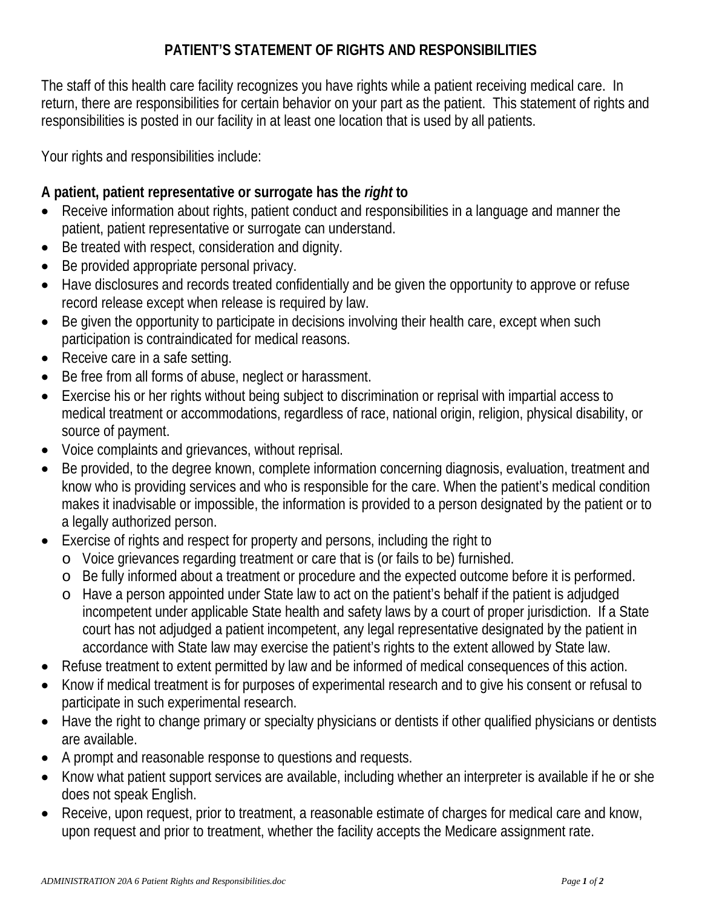## **PATIENT'S STATEMENT OF RIGHTS AND RESPONSIBILITIES**

The staff of this health care facility recognizes you have rights while a patient receiving medical care. In return, there are responsibilities for certain behavior on your part as the patient. This statement of rights and responsibilities is posted in our facility in at least one location that is used by all patients.

Your rights and responsibilities include:

## **A patient, patient representative or surrogate has the** *right* **to**

- Receive information about rights, patient conduct and responsibilities in a language and manner the patient, patient representative or surrogate can understand.
- Be treated with respect, consideration and dignity.
- Be provided appropriate personal privacy.
- Have disclosures and records treated confidentially and be given the opportunity to approve or refuse record release except when release is required by law.
- Be given the opportunity to participate in decisions involving their health care, except when such participation is contraindicated for medical reasons.
- Receive care in a safe setting.
- Be free from all forms of abuse, neglect or harassment.
- Exercise his or her rights without being subject to discrimination or reprisal with impartial access to medical treatment or accommodations, regardless of race, national origin, religion, physical disability, or source of payment.
- Voice complaints and grievances, without reprisal.
- Be provided, to the degree known, complete information concerning diagnosis, evaluation, treatment and know who is providing services and who is responsible for the care. When the patient's medical condition makes it inadvisable or impossible, the information is provided to a person designated by the patient or to a legally authorized person.
- Exercise of rights and respect for property and persons, including the right to
	- o Voice grievances regarding treatment or care that is (or fails to be) furnished.
		- o Be fully informed about a treatment or procedure and the expected outcome before it is performed.
		- o Have a person appointed under State law to act on the patient's behalf if the patient is adjudged incompetent under applicable State health and safety laws by a court of proper jurisdiction. If a State court has not adjudged a patient incompetent, any legal representative designated by the patient in accordance with State law may exercise the patient's rights to the extent allowed by State law.
- Refuse treatment to extent permitted by law and be informed of medical consequences of this action.
- Know if medical treatment is for purposes of experimental research and to give his consent or refusal to participate in such experimental research.
- Have the right to change primary or specialty physicians or dentists if other qualified physicians or dentists are available.
- A prompt and reasonable response to questions and requests.
- Know what patient support services are available, including whether an interpreter is available if he or she does not speak English.
- Receive, upon request, prior to treatment, a reasonable estimate of charges for medical care and know, upon request and prior to treatment, whether the facility accepts the Medicare assignment rate.